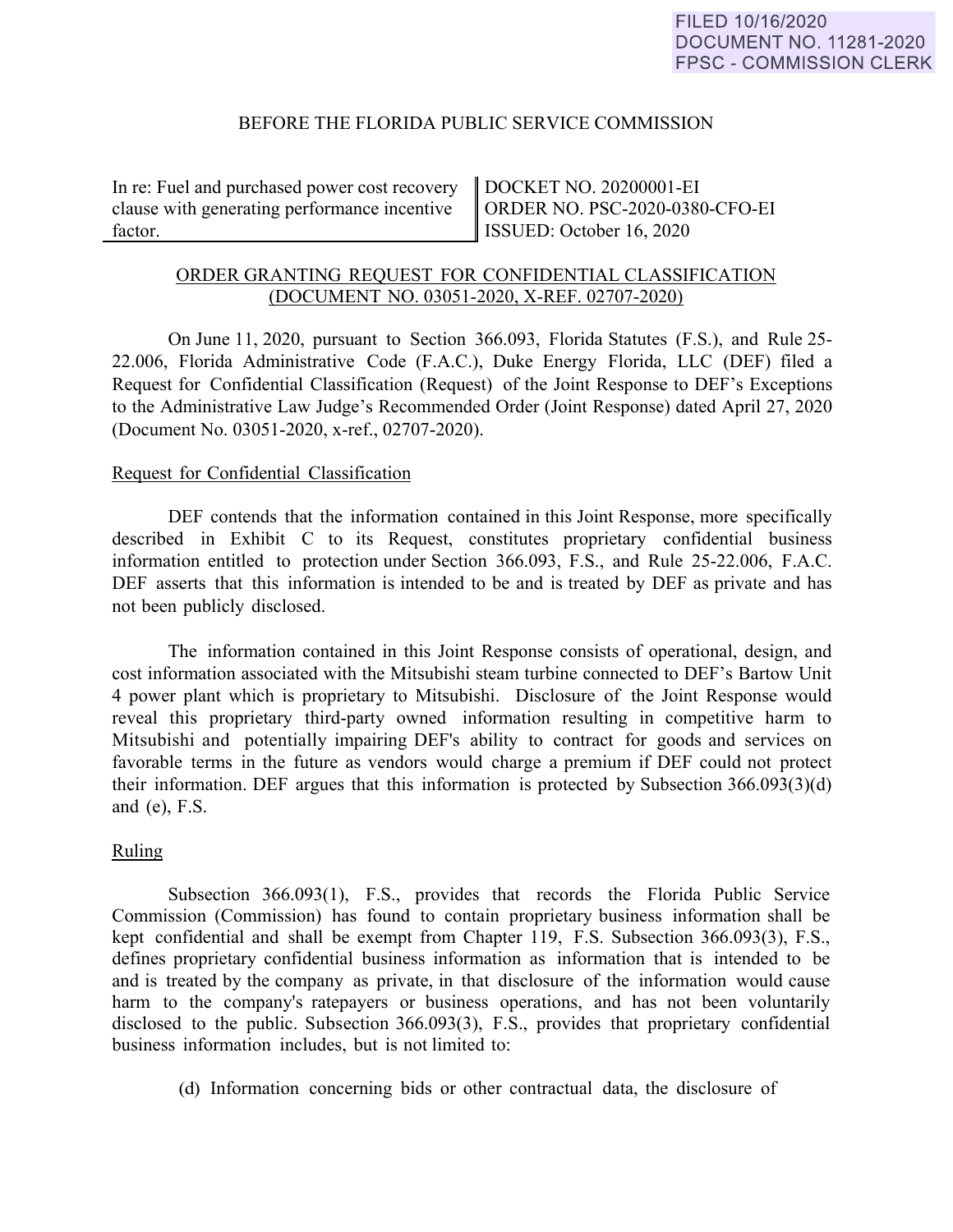# BEFORE THE FLORIDA PUBLIC SERVICE COMMISSION

In re: Fuel and purchased power cost recovery clause with generating performance incentive factor.

DOCKET NO. 20200001-EI ORDER NO. PSC-2020-0380-CFO-EI ISSUED: October 16, 2020

# ORDER GRANTING REQUEST FOR CONFIDENTIAL CLASSIFICATION (DOCUMENT NO. 03051-2020, X-REF. 02707-2020)

On June 11, 2020, pursuant to Section 366.093, Florida Statutes (F.S.), and Rule 25- 22.006, Florida Administrative Code (F.A.C.), Duke Energy Florida, LLC (DEF) filed a Request for Confidential Classification (Request) of the Joint Response to DEF's Exceptions to the Administrative Law Judge's Recommended Order (Joint Response) dated April 27, 2020 (Document No. 03051-2020, x-ref., 02707-2020).

## Request for Confidential Classification

DEF contends that the information contained in this Joint Response, more specifically described in Exhibit C to its Request, constitutes proprietary confidential business information entitled to protection under Section 366.093, F.S., and Rule 25-22.006, F.A.C. DEF asserts that this information is intended to be and is treated by DEF as private and has not been publicly disclosed.

The information contained in this Joint Response consists of operational, design, and cost information associated with the Mitsubishi steam turbine connected to DEF's Bartow Unit 4 power plant which is proprietary to Mitsubishi. Disclosure of the Joint Response would reveal this proprietary third-party owned information resulting in competitive harm to Mitsubishi and potentially impairing DEF's ability to contract for goods and services on favorable terms in the future as vendors would charge a premium if DEF could not protect their information. DEF argues that this information is protected by Subsection 366.093(3)(d) and (e), F.S.

## Ruling

Subsection 366.093(1), F.S., provides that records the Florida Public Service Commission (Commission) has found to contain proprietary business information shall be kept confidential and shall be exempt from Chapter 119, F.S. Subsection 366.093(3), F.S., defines proprietary confidential business information as information that is intended to be and is treated by the company as private, in that disclosure of the information would cause harm to the company's ratepayers or business operations, and has not been voluntarily disclosed to the public. Subsection 366.093(3), F.S., provides that proprietary confidential business information includes, but is not limited to:

(d) Information concerning bids or other contractual data, the disclosure of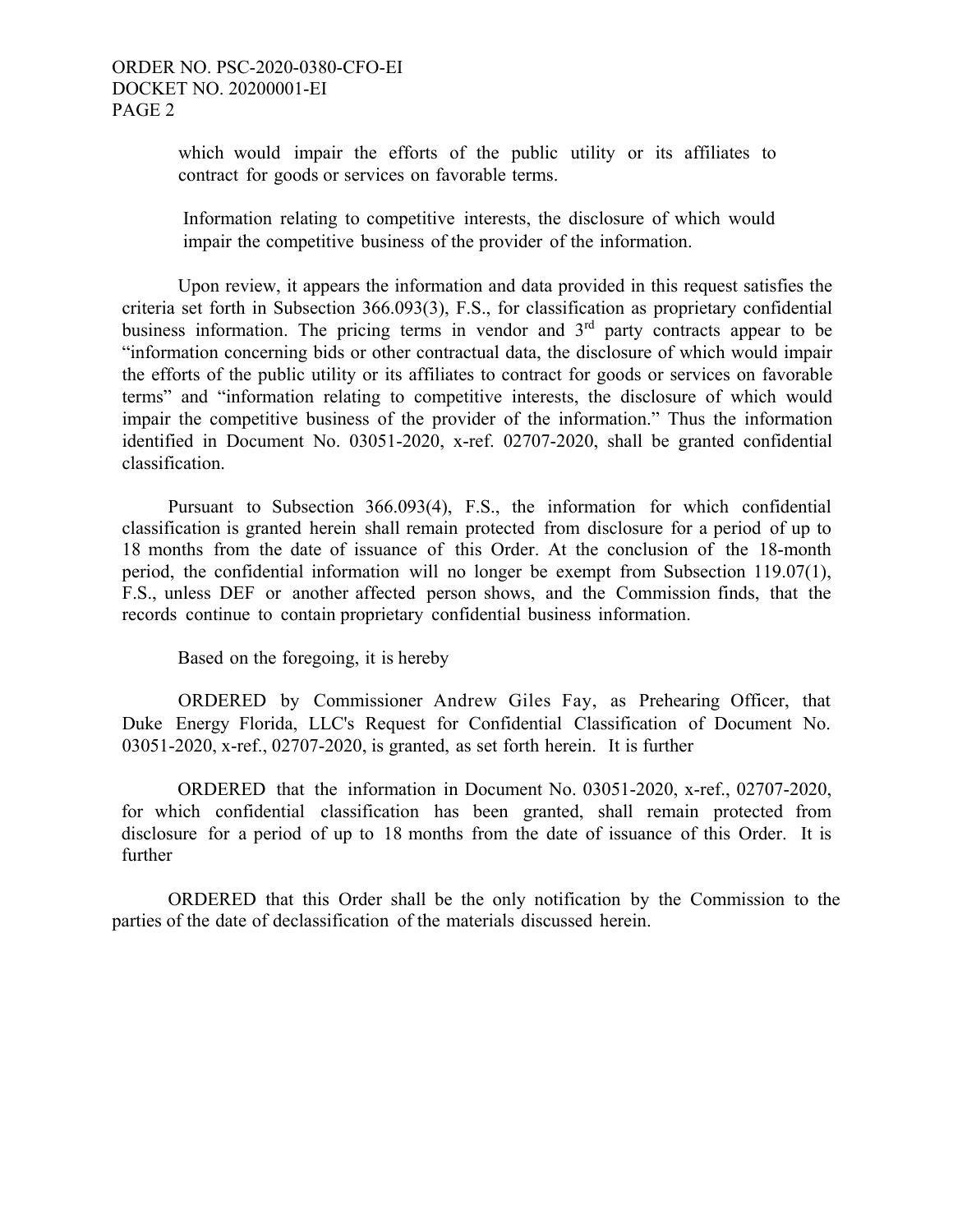which would impair the efforts of the public utility or its affiliates to contract for goods or services on favorable terms.

Information relating to competitive interests, the disclosure of which would impair the competitive business of the provider of the information.

Upon review, it appears the information and data provided in this request satisfies the criteria set forth in Subsection 366.093(3), F.S., for classification as proprietary confidential business information. The pricing terms in vendor and  $3<sup>rd</sup>$  party contracts appear to be "information concerning bids or other contractual data, the disclosure of which would impair the efforts of the public utility or its affiliates to contract for goods or services on favorable terms" and "information relating to competitive interests, the disclosure of which would impair the competitive business of the provider of the information." Thus the information identified in Document No. 03051-2020, x-ref. 02707-2020, shall be granted confidential classification.

 Pursuant to Subsection 366.093(4), F.S., the information for which confidential classification is granted herein shall remain protected from disclosure for a period of up to 18 months from the date of issuance of this Order. At the conclusion of the 18-month period, the confidential information will no longer be exempt from Subsection 119.07(1), F.S., unless DEF or another affected person shows, and the Commission finds, that the records continue to contain proprietary confidential business information.

Based on the foregoing, it is hereby

ORDERED by Commissioner Andrew Giles Fay, as Prehearing Officer, that Duke Energy Florida, LLC's Request for Confidential Classification of Document No. 03051-2020, x-ref., 02707-2020, is granted, as set forth herein. It is further

ORDERED that the information in Document No. 03051-2020, x-ref., 02707-2020, for which confidential classification has been granted, shall remain protected from disclosure for a period of up to 18 months from the date of issuance of this Order. It is further

 ORDERED that this Order shall be the only notification by the Commission to the parties of the date of declassification of the materials discussed herein.